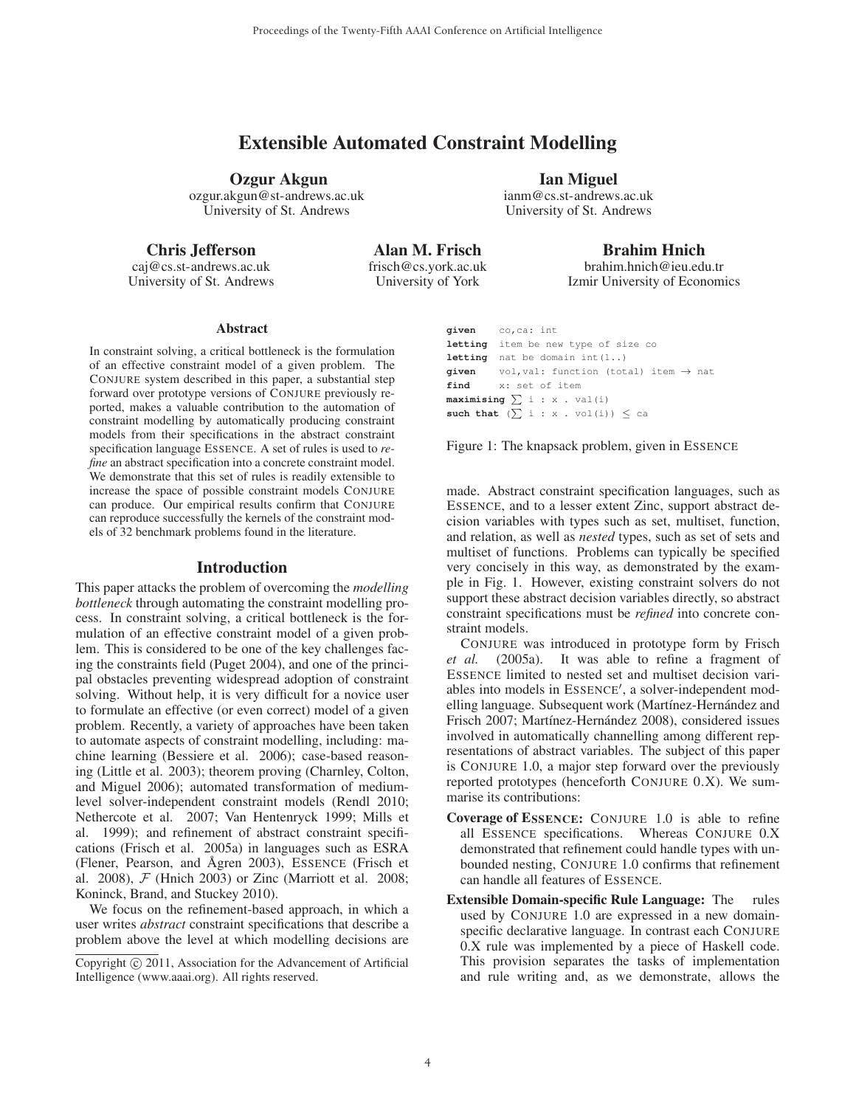# Extensible Automated Constraint Modelling

Ozgur Akgun ozgur.akgun@st-andrews.ac.uk University of St. Andrews

Chris Jefferson

caj@cs.st-andrews.ac.uk University of St. Andrews

Alan M. Frisch frisch@cs.york.ac.uk University of York

# Ian Miguel

ianm@cs.st-andrews.ac.uk University of St. Andrews

> Brahim Hnich brahim.hnich@ieu.edu.tr

Izmir University of Economics

#### Abstract

In constraint solving, a critical bottleneck is the formulation of an effective constraint model of a given problem. The CONJURE system described in this paper, a substantial step forward over prototype versions of CONJURE previously reported, makes a valuable contribution to the automation of constraint modelling by automatically producing constraint models from their specifications in the abstract constraint specification language ESSENCE. A set of rules is used to *refine* an abstract specification into a concrete constraint model. We demonstrate that this set of rules is readily extensible to increase the space of possible constraint models CONJURE can produce. Our empirical results confirm that CONJURE can reproduce successfully the kernels of the constraint models of 32 benchmark problems found in the literature.

#### Introduction

This paper attacks the problem of overcoming the *modelling bottleneck* through automating the constraint modelling process. In constraint solving, a critical bottleneck is the formulation of an effective constraint model of a given problem. This is considered to be one of the key challenges facing the constraints field (Puget 2004), and one of the principal obstacles preventing widespread adoption of constraint solving. Without help, it is very difficult for a novice user to formulate an effective (or even correct) model of a given problem. Recently, a variety of approaches have been taken to automate aspects of constraint modelling, including: machine learning (Bessiere et al. 2006); case-based reasoning (Little et al. 2003); theorem proving (Charnley, Colton, and Miguel 2006); automated transformation of mediumlevel solver-independent constraint models (Rendl 2010; Nethercote et al. 2007; Van Hentenryck 1999; Mills et al. 1999); and refinement of abstract constraint specifications (Frisch et al. 2005a) in languages such as ESRA (Flener, Pearson, and Ågren 2003), ESSENCE (Frisch et al. 2008),  $\mathcal F$  (Hnich 2003) or Zinc (Marriott et al. 2008; Koninck, Brand, and Stuckey 2010).

We focus on the refinement-based approach, in which a user writes *abstract* constraint specifications that describe a problem above the level at which modelling decisions are

```
given co,ca: int
letting item be new type of size co
letting nat be domain int(1..)
given vol, val: function (total) item \rightarrow nat<br>find x: set of item
          find x: set of item
maximising \sum i : x . val(i)such that (\sum i : x \cdot \text{vol}(i)) \leq ca
```
Figure 1: The knapsack problem, given in ESSENCE

made. Abstract constraint specification languages, such as ESSENCE, and to a lesser extent Zinc, support abstract decision variables with types such as set, multiset, function, and relation, as well as *nested* types, such as set of sets and multiset of functions. Problems can typically be specified very concisely in this way, as demonstrated by the example in Fig. 1. However, existing constraint solvers do not support these abstract decision variables directly, so abstract constraint specifications must be *refined* into concrete constraint models.

CONJURE was introduced in prototype form by Frisch *et al.* (2005a). It was able to refine a fragment of ESSENCE limited to nested set and multiset decision variables into models in ESSENCE , a solver-independent modelling language. Subsequent work (Martínez-Hernández and Frisch 2007; Martínez-Hernández 2008), considered issues involved in automatically channelling among different representations of abstract variables. The subject of this paper is CONJURE 1.0, a major step forward over the previously reported prototypes (henceforth CONJURE 0.X). We summarise its contributions:

- Coverage of ESSENCE: CONJURE 1.0 is able to refine all ESSENCE specifications. Whereas CONJURE 0.X demonstrated that refinement could handle types with unbounded nesting, CONJURE 1.0 confirms that refinement can handle all features of ESSENCE.
- Extensible Domain-specific Rule Language: The rules used by CONJURE 1.0 are expressed in a new domainspecific declarative language. In contrast each CONJURE 0.X rule was implemented by a piece of Haskell code. This provision separates the tasks of implementation and rule writing and, as we demonstrate, allows the

Copyright  $\odot$  2011, Association for the Advancement of Artificial Intelligence (www.aaai.org). All rights reserved.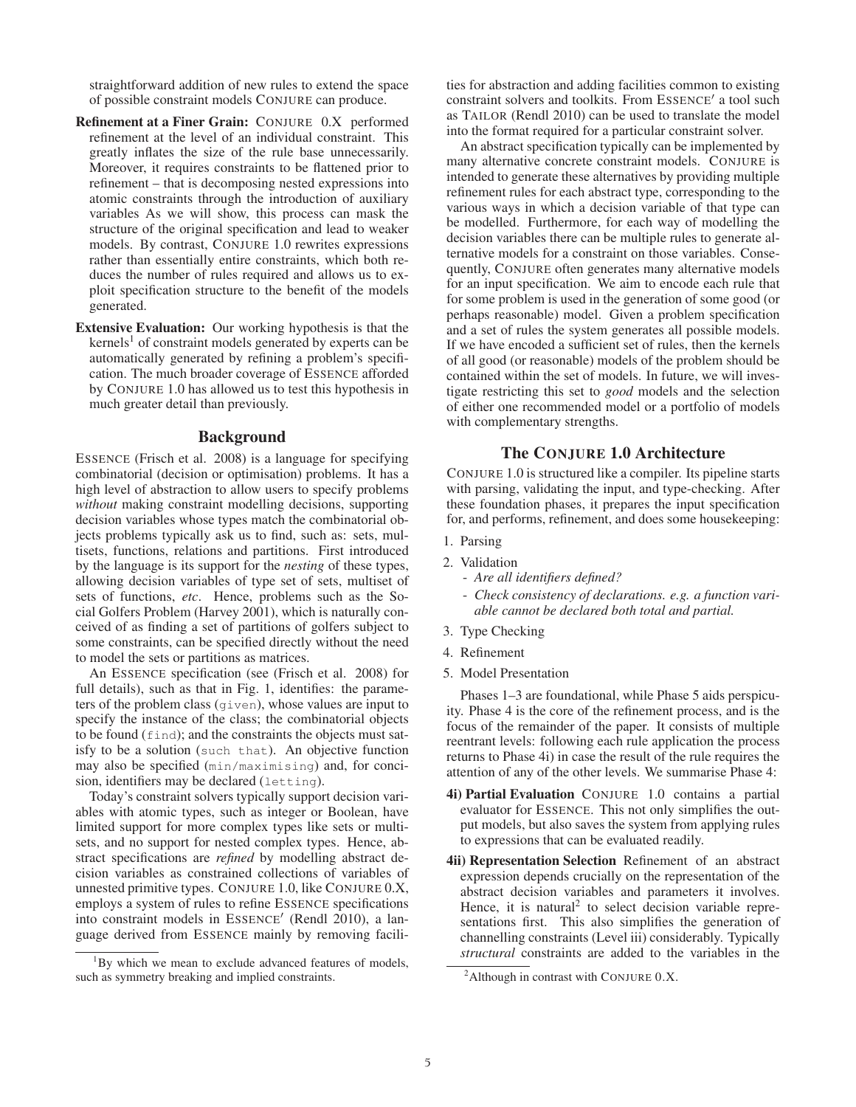straightforward addition of new rules to extend the space of possible constraint models CONJURE can produce.

- Refinement at a Finer Grain: CONJURE 0.X performed refinement at the level of an individual constraint. This greatly inflates the size of the rule base unnecessarily. Moreover, it requires constraints to be flattened prior to refinement – that is decomposing nested expressions into atomic constraints through the introduction of auxiliary variables As we will show, this process can mask the structure of the original specification and lead to weaker models. By contrast, CONJURE 1.0 rewrites expressions rather than essentially entire constraints, which both reduces the number of rules required and allows us to exploit specification structure to the benefit of the models generated.
- Extensive Evaluation: Our working hypothesis is that the  $k$ ernels<sup>1</sup> of constraint models generated by experts can be automatically generated by refining a problem's specification. The much broader coverage of ESSENCE afforded by CONJURE 1.0 has allowed us to test this hypothesis in much greater detail than previously.

#### Background

ESSENCE (Frisch et al. 2008) is a language for specifying combinatorial (decision or optimisation) problems. It has a high level of abstraction to allow users to specify problems *without* making constraint modelling decisions, supporting decision variables whose types match the combinatorial objects problems typically ask us to find, such as: sets, multisets, functions, relations and partitions. First introduced by the language is its support for the *nesting* of these types, allowing decision variables of type set of sets, multiset of sets of functions, *etc*. Hence, problems such as the Social Golfers Problem (Harvey 2001), which is naturally conceived of as finding a set of partitions of golfers subject to some constraints, can be specified directly without the need to model the sets or partitions as matrices.

An ESSENCE specification (see (Frisch et al. 2008) for full details), such as that in Fig. 1, identifies: the parameters of the problem class (given), whose values are input to specify the instance of the class; the combinatorial objects to be found (find); and the constraints the objects must satisfy to be a solution (such that). An objective function may also be specified (min/maximising) and, for concision, identifiers may be declared (letting).

Today's constraint solvers typically support decision variables with atomic types, such as integer or Boolean, have limited support for more complex types like sets or multisets, and no support for nested complex types. Hence, abstract specifications are *refined* by modelling abstract decision variables as constrained collections of variables of unnested primitive types. CONJURE 1.0, like CONJURE 0.X, employs a system of rules to refine ESSENCE specifications into constraint models in ESSENCE' (Rendl 2010), a language derived from ESSENCE mainly by removing facilities for abstraction and adding facilities common to existing constraint solvers and toolkits. From ESSENCE' a tool such as TAILOR (Rendl 2010) can be used to translate the model into the format required for a particular constraint solver.

An abstract specification typically can be implemented by many alternative concrete constraint models. CONJURE is intended to generate these alternatives by providing multiple refinement rules for each abstract type, corresponding to the various ways in which a decision variable of that type can be modelled. Furthermore, for each way of modelling the decision variables there can be multiple rules to generate alternative models for a constraint on those variables. Consequently, CONJURE often generates many alternative models for an input specification. We aim to encode each rule that for some problem is used in the generation of some good (or perhaps reasonable) model. Given a problem specification and a set of rules the system generates all possible models. If we have encoded a sufficient set of rules, then the kernels of all good (or reasonable) models of the problem should be contained within the set of models. In future, we will investigate restricting this set to *good* models and the selection of either one recommended model or a portfolio of models with complementary strengths.

### The CONJURE 1.0 Architecture

CONJURE 1.0 is structured like a compiler. Its pipeline starts with parsing, validating the input, and type-checking. After these foundation phases, it prepares the input specification for, and performs, refinement, and does some housekeeping:

- 1. Parsing
- 2. Validation
	- *Are all identifiers defined?*
	- *Check consistency of declarations. e.g. a function variable cannot be declared both total and partial.*
- 3. Type Checking
- 4. Refinement
- 5. Model Presentation

Phases 1–3 are foundational, while Phase 5 aids perspicuity. Phase 4 is the core of the refinement process, and is the focus of the remainder of the paper. It consists of multiple reentrant levels: following each rule application the process returns to Phase 4i) in case the result of the rule requires the attention of any of the other levels. We summarise Phase 4:

- 4i) Partial Evaluation CONJURE 1.0 contains a partial evaluator for ESSENCE. This not only simplifies the output models, but also saves the system from applying rules to expressions that can be evaluated readily.
- 4ii) Representation Selection Refinement of an abstract expression depends crucially on the representation of the abstract decision variables and parameters it involves. Hence, it is natural<sup>2</sup> to select decision variable representations first. This also simplifies the generation of channelling constraints (Level iii) considerably. Typically *structural* constraints are added to the variables in the

<sup>&</sup>lt;sup>1</sup>By which we mean to exclude advanced features of models, such as symmetry breaking and implied constraints.

<sup>&</sup>lt;sup>2</sup> Although in contrast with CONJURE 0.X.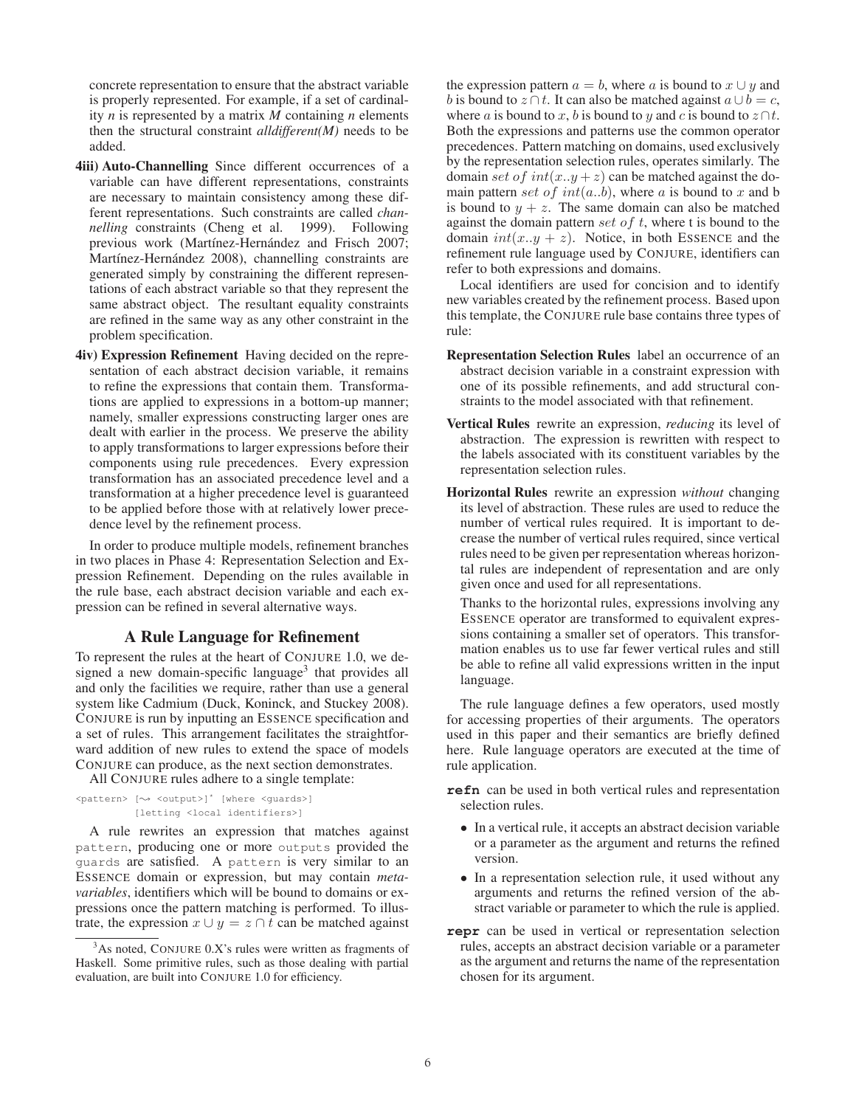concrete representation to ensure that the abstract variable is properly represented. For example, if a set of cardinality *n* is represented by a matrix *M* containing *n* elements then the structural constraint *alldifferent(M)* needs to be added.

- 4iii) Auto-Channelling Since different occurrences of a variable can have different representations, constraints are necessary to maintain consistency among these different representations. Such constraints are called *channelling* constraints (Cheng et al. 1999). Following previous work (Martínez-Hernández and Frisch 2007; Martínez-Hernández 2008), channelling constraints are generated simply by constraining the different representations of each abstract variable so that they represent the same abstract object. The resultant equality constraints are refined in the same way as any other constraint in the problem specification.
- 4iv) Expression Refinement Having decided on the representation of each abstract decision variable, it remains to refine the expressions that contain them. Transformations are applied to expressions in a bottom-up manner; namely, smaller expressions constructing larger ones are dealt with earlier in the process. We preserve the ability to apply transformations to larger expressions before their components using rule precedences. Every expression transformation has an associated precedence level and a transformation at a higher precedence level is guaranteed to be applied before those with at relatively lower precedence level by the refinement process.

In order to produce multiple models, refinement branches in two places in Phase 4: Representation Selection and Expression Refinement. Depending on the rules available in the rule base, each abstract decision variable and each expression can be refined in several alternative ways.

#### A Rule Language for Refinement

To represent the rules at the heart of CONJURE 1.0, we designed a new domain-specific language<sup>3</sup> that provides all and only the facilities we require, rather than use a general system like Cadmium (Duck, Koninck, and Stuckey 2008). CONJURE is run by inputting an ESSENCE specification and a set of rules. This arrangement facilitates the straightforward addition of new rules to extend the space of models CONJURE can produce, as the next section demonstrates.

All CONJURE rules adhere to a single template:

```
<pattern> [\rightsquigarrow <output>]* [where <guards>]
            [letting <local identifiers>]
```
A rule rewrites an expression that matches against pattern, producing one or more outputs provided the guards are satisfied. A pattern is very similar to an ESSENCE domain or expression, but may contain *metavariables*, identifiers which will be bound to domains or expressions once the pattern matching is performed. To illustrate, the expression  $x \cup y = z \cap t$  can be matched against

the expression pattern  $a = b$ , where a is bound to  $x \cup y$  and b is bound to  $z \cap t$ . It can also be matched against  $a \cup b = c$ , where *a* is bound to *x*, *b* is bound to *y* and *c* is bound to  $z \cap t$ . Both the expressions and patterns use the common operator precedences. Pattern matching on domains, used exclusively by the representation selection rules, operates similarly. The domain set of  $int(x,y+z)$  can be matched against the domain pattern set of  $int(a..b)$ , where a is bound to x and b is bound to  $y + z$ . The same domain can also be matched against the domain pattern set of  $t$ , where t is bound to the domain  $int(x,y+z)$ . Notice, in both ESSENCE and the refinement rule language used by CONJURE, identifiers can refer to both expressions and domains.

Local identifiers are used for concision and to identify new variables created by the refinement process. Based upon this template, the CONJURE rule base contains three types of rule:

- Representation Selection Rules label an occurrence of an abstract decision variable in a constraint expression with one of its possible refinements, and add structural constraints to the model associated with that refinement.
- Vertical Rules rewrite an expression, *reducing* its level of abstraction. The expression is rewritten with respect to the labels associated with its constituent variables by the representation selection rules.
- Horizontal Rules rewrite an expression *without* changing its level of abstraction. These rules are used to reduce the number of vertical rules required. It is important to decrease the number of vertical rules required, since vertical rules need to be given per representation whereas horizontal rules are independent of representation and are only given once and used for all representations.

Thanks to the horizontal rules, expressions involving any ESSENCE operator are transformed to equivalent expressions containing a smaller set of operators. This transformation enables us to use far fewer vertical rules and still be able to refine all valid expressions written in the input language.

The rule language defines a few operators, used mostly for accessing properties of their arguments. The operators used in this paper and their semantics are briefly defined here. Rule language operators are executed at the time of rule application.

- **refn** can be used in both vertical rules and representation selection rules.
	- In a vertical rule, it accepts an abstract decision variable or a parameter as the argument and returns the refined version.
	- In a representation selection rule, it used without any arguments and returns the refined version of the abstract variable or parameter to which the rule is applied.
- **repr** can be used in vertical or representation selection rules, accepts an abstract decision variable or a parameter as the argument and returns the name of the representation chosen for its argument.

 $3$ As noted, CONJURE 0.X's rules were written as fragments of Haskell. Some primitive rules, such as those dealing with partial evaluation, are built into CONJURE 1.0 for efficiency.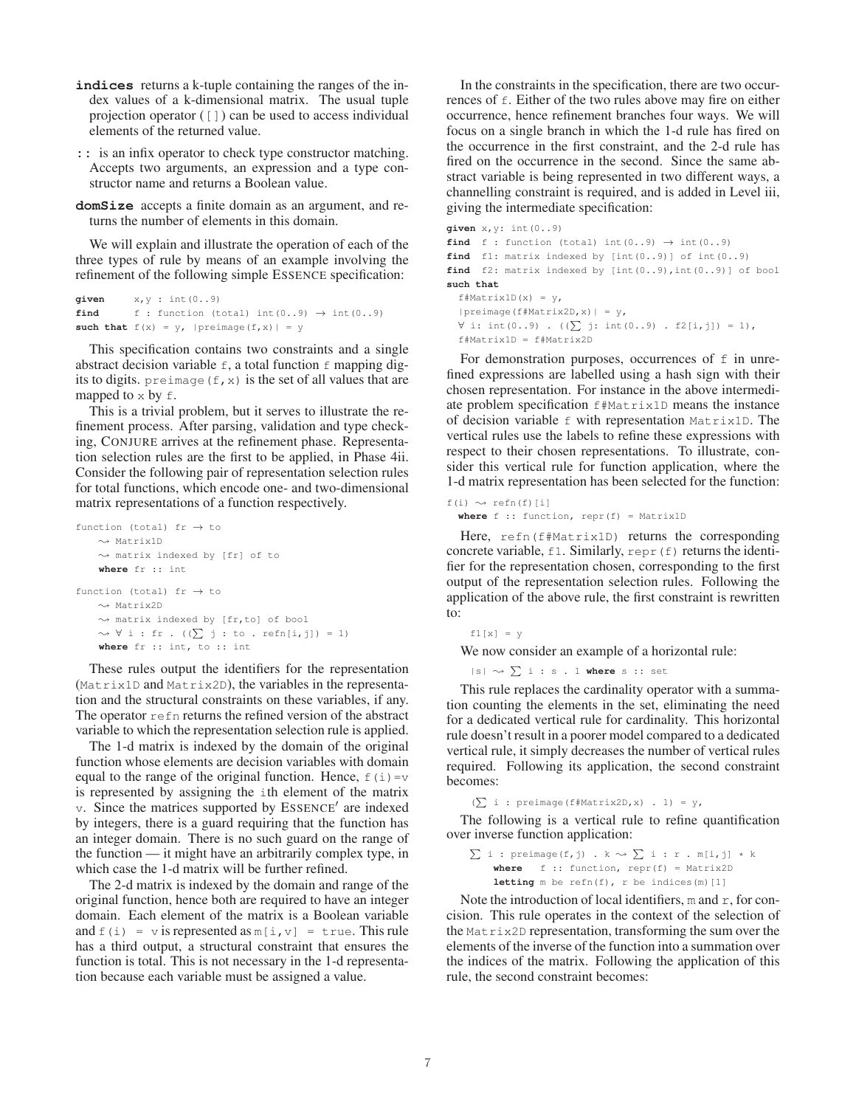- **indices** returns a k-tuple containing the ranges of the index values of a k-dimensional matrix. The usual tuple projection operator ([]) can be used to access individual elements of the returned value.
- **::** is an infix operator to check type constructor matching. Accepts two arguments, an expression and a type constructor name and returns a Boolean value.
- **domSize** accepts a finite domain as an argument, and returns the number of elements in this domain.

We will explain and illustrate the operation of each of the three types of rule by means of an example involving the refinement of the following simple ESSENCE specification:

```
given x, y : int(0..9)find f : function (total) int(0..9) \rightarrow int(0..9)such that f(x) = y, |preimage(f, x)| = y
```
This specification contains two constraints and a single abstract decision variable  $f$ , a total function  $f$  mapping digits to digits. preimage  $(f, x)$  is the set of all values that are mapped to  $\times$  by  $f$ .

This is a trivial problem, but it serves to illustrate the refinement process. After parsing, validation and type checking, CONJURE arrives at the refinement phase. Representation selection rules are the first to be applied, in Phase 4ii. Consider the following pair of representation selection rules for total functions, which encode one- and two-dimensional matrix representations of a function respectively.

```
function (total) fr \rightarrow to
     \rightsquigarrow Matrix1D
     \rightsquigarrow matrix indexed by [fr] of to
     where fr :: int
function (total) fr \rightarrow to
     \rightsquigarrow Matrix2D
     \rightsquigarrow matrix indexed by [fr,to] of bool
      \rightsquigarrow \forall i : fr . ((\sum j : to . refn[i,j]) = 1)
     where fr :: int, to :: int
```
These rules output the identifiers for the representation (Matrix1D and Matrix2D), the variables in the representation and the structural constraints on these variables, if any. The operator  $r \in f$ n returns the refined version of the abstract variable to which the representation selection rule is applied.

The 1-d matrix is indexed by the domain of the original function whose elements are decision variables with domain equal to the range of the original function. Hence,  $f(i) = v$ is represented by assigning the ith element of the matrix  $\nu$ . Since the matrices supported by ESSENCE' are indexed by integers, there is a guard requiring that the function has an integer domain. There is no such guard on the range of the function — it might have an arbitrarily complex type, in which case the 1-d matrix will be further refined.

The 2-d matrix is indexed by the domain and range of the original function, hence both are required to have an integer domain. Each element of the matrix is a Boolean variable and  $f(i) = v$  is represented as  $m[i, v] = true$ . This rule has a third output, a structural constraint that ensures the function is total. This is not necessary in the 1-d representation because each variable must be assigned a value.

In the constraints in the specification, there are two occurrences of f. Either of the two rules above may fire on either occurrence, hence refinement branches four ways. We will focus on a single branch in which the 1-d rule has fired on the occurrence in the first constraint, and the 2-d rule has fired on the occurrence in the second. Since the same abstract variable is being represented in two different ways, a channelling constraint is required, and is added in Level iii, giving the intermediate specification:

```
given x,y: int(0..9)
find f : function (total) int(0..9) \rightarrow int(0..9)find f1: matrix indexed by [int(0..9)] of int(0..9)
find f2: matrix indexed by [int(0..9),int(0..9)] of bool
such that
  f#Matrix1D(x) = y,
  |preimage(f#Matrix2D,x)| = y,
  ∀ i: int(0..9) . ((\sum j: int(0..9) . f2[i,j]) = 1),
  f#Matrix1D = f#Matrix2D
```
For demonstration purposes, occurrences of  $f$  in unrefined expressions are labelled using a hash sign with their chosen representation. For instance in the above intermediate problem specification f#Matrix1D means the instance of decision variable f with representation Matrix1D. The vertical rules use the labels to refine these expressions with respect to their chosen representations. To illustrate, consider this vertical rule for function application, where the 1-d matrix representation has been selected for the function:

 $f(i) \rightsquigarrow$  refn(f)[i] **where** f :: function, repr(f) = Matrix1D

Here, refn(f#Matrix1D) returns the corresponding concrete variable,  $f1$ . Similarly, repr (f) returns the identifier for the representation chosen, corresponding to the first output of the representation selection rules. Following the application of the above rule, the first constraint is rewritten to:

```
f1[x] = y
```
We now consider an example of a horizontal rule:

 $|s| \leadsto \sum i : s . 1$  where s :: set

This rule replaces the cardinality operator with a summation counting the elements in the set, eliminating the need for a dedicated vertical rule for cardinality. This horizontal rule doesn't result in a poorer model compared to a dedicated vertical rule, it simply decreases the number of vertical rules required. Following its application, the second constraint becomes:

 $(\sum i : preimage(f*Matrix2D, x) . 1) = y,$ 

The following is a vertical rule to refine quantification over inverse function application:

 $\sum i$  : preimage(f,j) . k  $\sim$   $\sum i$  : r . m[i,j] \* k **where** f :: function, repr(f) = Matrix2D **letting**  $m$  be refn(f),  $r$  be indices( $m$ )[1]

Note the introduction of local identifiers, m and  $r$ , for concision. This rule operates in the context of the selection of the Matrix2D representation, transforming the sum over the elements of the inverse of the function into a summation over the indices of the matrix. Following the application of this rule, the second constraint becomes: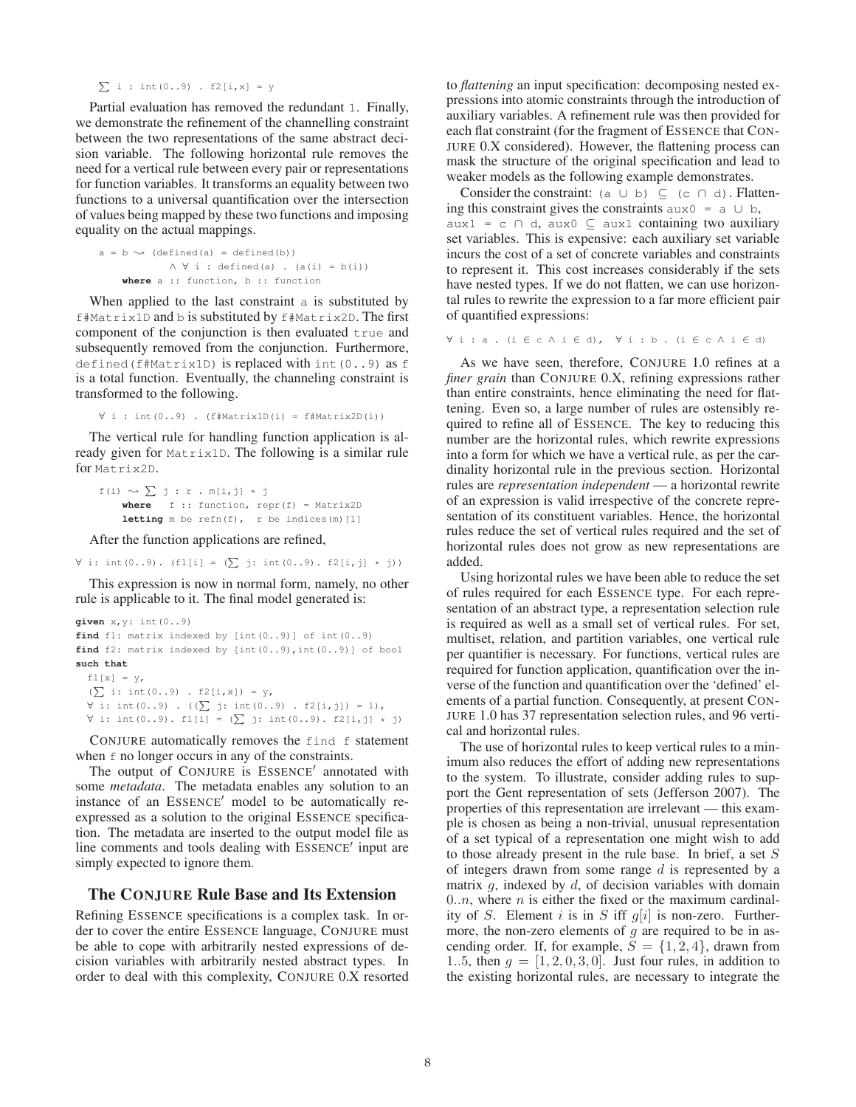$\sum i : int(0..9)$  . f2[i,x] = y

Partial evaluation has removed the redundant 1. Finally, we demonstrate the refinement of the channelling constraint between the two representations of the same abstract decision variable. The following horizontal rule removes the need for a vertical rule between every pair or representations for function variables. It transforms an equality between two functions to a universal quantification over the intersection of values being mapped by these two functions and imposing equality on the actual mappings.

```
a = b \rightsquigarrow (defined(a) = defined(b))\wedge \forall i : defined(a) . (a(i) = b(i))
    where a :: function, b :: function
```
When applied to the last constraint a is substituted by f#Matrix1D and b is substituted by f#Matrix2D. The first component of the conjunction is then evaluated  $true$  and subsequently removed from the conjunction. Furthermore, defined(f#Matrix1D) is replaced with int(0..9) as f is a total function. Eventually, the channeling constraint is transformed to the following.

∀ i : int(0..9) . (f#Matrix1D(i) = f#Matrix2D(i))

The vertical rule for handling function application is already given for Matrix1D. The following is a similar rule for Matrix2D.

```
f(i) \rightsquigarrow \sum j : r . m[i, j] * jwhere f :: function, repr(f) = Matrix2D
    letting m be refn(f), r be indices(m)[1]
```
After the function applications are refined,

 $∀ i: int (0..9) . (f1[i] = ( $\sum j: int (0..9)$ . f2[i,j] * j))$ 

This expression is now in normal form, namely, no other rule is applicable to it. The final model generated is:

```
given x,y: int(0..9)
find f1: matrix indexed by [int(0..9)] of int(0..9)
find f2: matrix indexed by [int(0..9),int(0..9)] of bool
such that
 f1[x] = y,
  (\sum i: int(0..9) . f2[i,x]) = y,∀ i: int (0..9) . ((∑ j: int (0..9) . f2[i,j]) = 1),∀ i: int (0..9). f1[i] = (<math>\sum j: int (0..9). f2[i,j] * j</math>)
```
CONJURE automatically removes the find f statement when  $\epsilon$  no longer occurs in any of the constraints.

The output of CONJURE is ESSENCE' annotated with some *metadata*. The metadata enables any solution to an instance of an ESSENCE' model to be automatically reexpressed as a solution to the original ESSENCE specification. The metadata are inserted to the output model file as line comments and tools dealing with ESSENCE' input are simply expected to ignore them.

## The CONJURE Rule Base and Its Extension

Refining ESSENCE specifications is a complex task. In order to cover the entire ESSENCE language, CONJURE must be able to cope with arbitrarily nested expressions of decision variables with arbitrarily nested abstract types. In order to deal with this complexity, CONJURE 0.X resorted

to *flattening* an input specification: decomposing nested expressions into atomic constraints through the introduction of auxiliary variables. A refinement rule was then provided for each flat constraint (for the fragment of ESSENCE that CON-JURE 0.X considered). However, the flattening process can mask the structure of the original specification and lead to weaker models as the following example demonstrates.

Consider the constraint: (a ∪ b)  $\subseteq$  (c ∩ d). Flattening this constraint gives the constraints  $aux0 = a \cup b$ ,  $aux1 = c \cap d$ ,  $aux0 \subseteq aux1$  containing two auxiliary set variables. This is expensive: each auxiliary set variable incurs the cost of a set of concrete variables and constraints to represent it. This cost increases considerably if the sets have nested types. If we do not flatten, we can use horizontal rules to rewrite the expression to a far more efficient pair of quantified expressions:

```
∀ i : a . (i ∈ c ∧ i ∈ d), ∀ i : b . (i ∈ c ∧ i ∈ d)
```
As we have seen, therefore, CONJURE 1.0 refines at a *finer grain* than CONJURE 0.X, refining expressions rather than entire constraints, hence eliminating the need for flattening. Even so, a large number of rules are ostensibly required to refine all of ESSENCE. The key to reducing this number are the horizontal rules, which rewrite expressions into a form for which we have a vertical rule, as per the cardinality horizontal rule in the previous section. Horizontal rules are *representation independent* — a horizontal rewrite of an expression is valid irrespective of the concrete representation of its constituent variables. Hence, the horizontal rules reduce the set of vertical rules required and the set of horizontal rules does not grow as new representations are added.

Using horizontal rules we have been able to reduce the set of rules required for each ESSENCE type. For each representation of an abstract type, a representation selection rule is required as well as a small set of vertical rules. For set, multiset, relation, and partition variables, one vertical rule per quantifier is necessary. For functions, vertical rules are required for function application, quantification over the inverse of the function and quantification over the 'defined' elements of a partial function. Consequently, at present CON-JURE 1.0 has 37 representation selection rules, and 96 vertical and horizontal rules.

The use of horizontal rules to keep vertical rules to a minimum also reduces the effort of adding new representations to the system. To illustrate, consider adding rules to support the Gent representation of sets (Jefferson 2007). The properties of this representation are irrelevant — this example is chosen as being a non-trivial, unusual representation of a set typical of a representation one might wish to add to those already present in the rule base. In brief, a set S of integers drawn from some range  $d$  is represented by a matrix  $q$ , indexed by  $d$ , of decision variables with domain  $0..n$ , where *n* is either the fixed or the maximum cardinality of S. Element i is in S iff  $g[i]$  is non-zero. Furthermore, the non-zero elements of  $q$  are required to be in ascending order. If, for example,  $S = \{1, 2, 4\}$ , drawn from 1..5, then  $g = [1, 2, 0, 3, 0]$ . Just four rules, in addition to the existing horizontal rules, are necessary to integrate the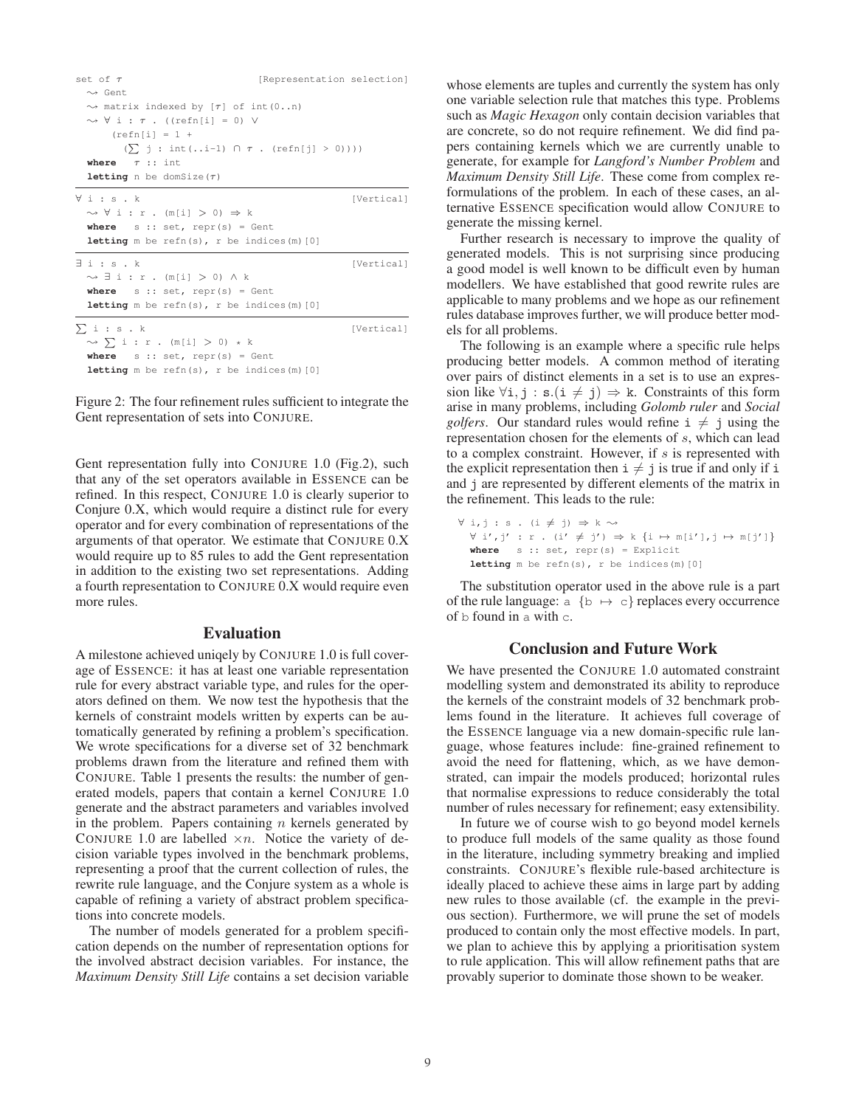| set of $\tau$                                               | [Representation selection] |
|-------------------------------------------------------------|----------------------------|
| $\rightsquigarrow$ Gent                                     |                            |
| $\rightsquigarrow$ matrix indexed by [ $\tau$ ] of int(0n)  |                            |
| $\rightsquigarrow \forall i : \tau$ . ((refn[i] = 0) V      |                            |
| $\text{refn}[i] = 1 +$                                      |                            |
| $(\sum j : int( i-1) \cap \tau . (refn[j] > 0))))$          |                            |
| where $\tau$ :: int                                         |                            |
| <b>letting</b> n be domSize $(\tau)$                        |                            |
| $\forall i : s \cdot k$                                     | [Vertical]                 |
| $\rightsquigarrow \forall i : r . (m[i] > 0) \Rightarrow k$ |                            |
| where $s :: set$ , repr(s) = Gent                           |                            |
| <b>letting</b> $m$ be refn(s), $r$ be indices( $m$ ) [0]    |                            |
| $\exists i : s \cdot k$                                     | [Vertical]                 |
| $\rightsquigarrow$ $\exists$ i : r . (m[i] $>$ 0) $\land$ k |                            |
| where $s :: set$ , repr(s) = Gent                           |                            |
| <b>letting</b> $m$ be refn(s), $r$ be indices( $m$ ) [0]    |                            |
| $\Sigma$ i: s.k                                             | [Vertical]                 |
| $\rightsquigarrow$ $\sum$ i : r . (m[i] $>$ 0) * k          |                            |
| where $s :: set$ , repr(s) = Gent                           |                            |
| <b>letting</b> m be refn(s), r be indices(m) $[0]$          |                            |

Figure 2: The four refinement rules sufficient to integrate the Gent representation of sets into CONJURE.

Gent representation fully into CONJURE 1.0 (Fig.2), such that any of the set operators available in ESSENCE can be refined. In this respect, CONJURE 1.0 is clearly superior to Conjure 0.X, which would require a distinct rule for every operator and for every combination of representations of the arguments of that operator. We estimate that CONJURE 0.X would require up to 85 rules to add the Gent representation in addition to the existing two set representations. Adding a fourth representation to CONJURE 0.X would require even more rules.

#### Evaluation

A milestone achieved uniqely by CONJURE 1.0 is full coverage of ESSENCE: it has at least one variable representation rule for every abstract variable type, and rules for the operators defined on them. We now test the hypothesis that the kernels of constraint models written by experts can be automatically generated by refining a problem's specification. We wrote specifications for a diverse set of 32 benchmark problems drawn from the literature and refined them with CONJURE. Table 1 presents the results: the number of generated models, papers that contain a kernel CONJURE 1.0 generate and the abstract parameters and variables involved in the problem. Papers containing  $n$  kernels generated by CONJURE 1.0 are labelled  $\times n$ . Notice the variety of decision variable types involved in the benchmark problems, representing a proof that the current collection of rules, the rewrite rule language, and the Conjure system as a whole is capable of refining a variety of abstract problem specifications into concrete models.

The number of models generated for a problem specification depends on the number of representation options for the involved abstract decision variables. For instance, the *Maximum Density Still Life* contains a set decision variable

whose elements are tuples and currently the system has only one variable selection rule that matches this type. Problems such as *Magic Hexagon* only contain decision variables that are concrete, so do not require refinement. We did find papers containing kernels which we are currently unable to generate, for example for *Langford's Number Problem* and *Maximum Density Still Life*. These come from complex reformulations of the problem. In each of these cases, an alternative ESSENCE specification would allow CONJURE to generate the missing kernel.

Further research is necessary to improve the quality of generated models. This is not surprising since producing a good model is well known to be difficult even by human modellers. We have established that good rewrite rules are applicable to many problems and we hope as our refinement rules database improves further, we will produce better models for all problems.

The following is an example where a specific rule helps producing better models. A common method of iterating over pairs of distinct elements in a set is to use an expression like  $\forall i, j : s.(i \neq j) \Rightarrow k$ . Constraints of this form arise in many problems, including *Golomb ruler* and *Social golfers*. Our standard rules would refine  $i \neq j$  using the representation chosen for the elements of s, which can lead to a complex constraint. However, if  $s$  is represented with the explicit representation then  $i \neq j$  is true if and only if i and j are represented by different elements of the matrix in the refinement. This leads to the rule:

 $\forall i,j : s . (i \neq j) \Rightarrow k \rightsquigarrow$  $\forall \ i', j' \ : \ r \ . \ (i' \neq j') \ \Rightarrow \ k \ \{i \ \mapsto \mathfrak{m}[i'], j \ \mapsto \mathfrak{m}[j']\}$ **where** s :: set, repr(s) = Explicit **letting** m be refn(s), r be indices(m)[0]

The substitution operator used in the above rule is a part of the rule language:  $a \{b \mapsto c\}$  replaces every occurrence of b found in a with c.

#### Conclusion and Future Work

We have presented the CONJURE 1.0 automated constraint modelling system and demonstrated its ability to reproduce the kernels of the constraint models of 32 benchmark problems found in the literature. It achieves full coverage of the ESSENCE language via a new domain-specific rule language, whose features include: fine-grained refinement to avoid the need for flattening, which, as we have demonstrated, can impair the models produced; horizontal rules that normalise expressions to reduce considerably the total number of rules necessary for refinement; easy extensibility.

In future we of course wish to go beyond model kernels to produce full models of the same quality as those found in the literature, including symmetry breaking and implied constraints. CONJURE's flexible rule-based architecture is ideally placed to achieve these aims in large part by adding new rules to those available (cf. the example in the previous section). Furthermore, we will prune the set of models produced to contain only the most effective models. In part, we plan to achieve this by applying a prioritisation system to rule application. This will allow refinement paths that are provably superior to dominate those shown to be weaker.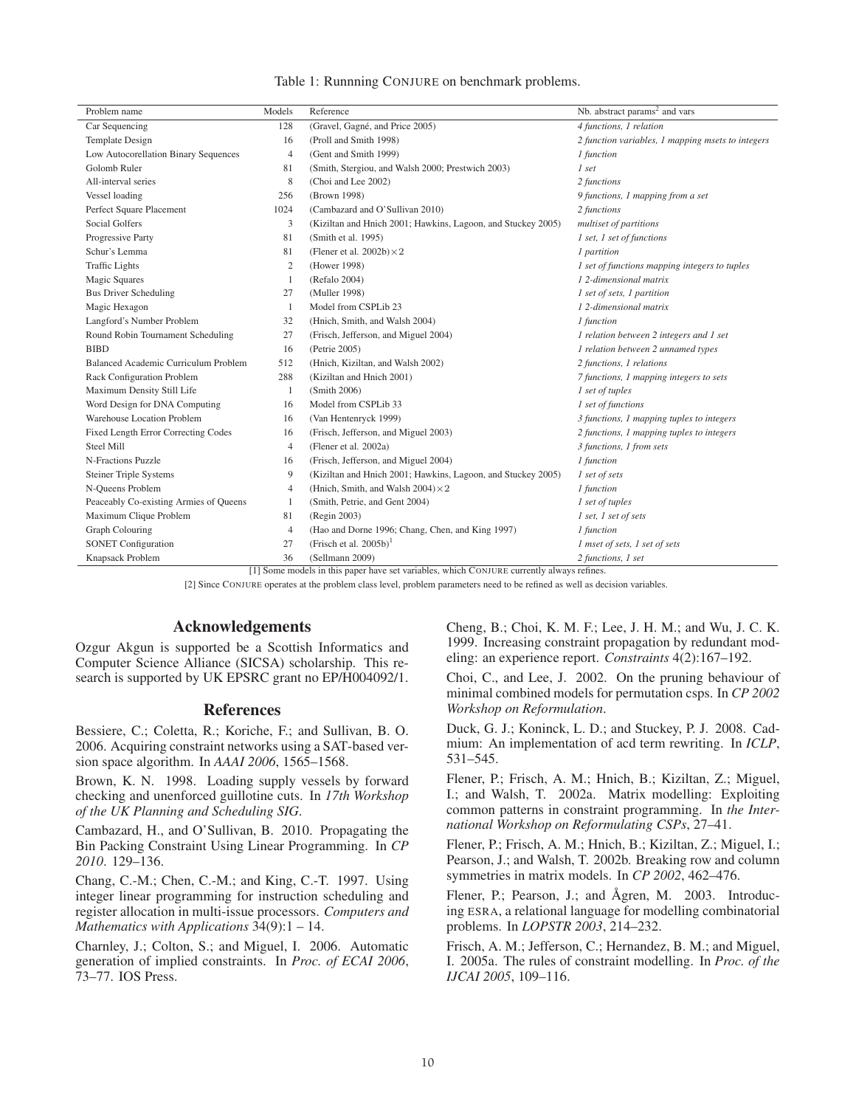| Table 1: Runnning CONJURE on benchmark problems. |  |  |  |
|--------------------------------------------------|--|--|--|
|--------------------------------------------------|--|--|--|

| Problem name                           | Models         | Reference                                                    | Nb. abstract params <sup>2</sup> and vars         |
|----------------------------------------|----------------|--------------------------------------------------------------|---------------------------------------------------|
| Car Sequencing                         | 128            | (Gravel, Gagné, and Price 2005)                              | 4 functions, 1 relation                           |
| Template Design                        | 16             | (Proll and Smith 1998)                                       | 2 function variables, 1 mapping msets to integers |
| Low Autocorellation Binary Sequences   | $\overline{4}$ | (Gent and Smith 1999)                                        | 1 function                                        |
| Golomb Ruler                           | 81             | (Smith, Stergiou, and Walsh 2000; Prestwich 2003)            | 1 set                                             |
| All-interval series                    | 8              | (Choi and Lee 2002)                                          | 2 functions                                       |
| Vessel loading                         | 256            | (Brown 1998)                                                 | 9 functions, 1 mapping from a set                 |
| Perfect Square Placement               | 1024           | (Cambazard and O'Sullivan 2010)                              | 2 functions                                       |
| <b>Social Golfers</b>                  | 3              | (Kiziltan and Hnich 2001; Hawkins, Lagoon, and Stuckey 2005) | multiset of partitions                            |
| Progressive Party                      | 81             | (Smith et al. 1995)                                          | 1 set, 1 set of functions                         |
| Schur's Lemma                          | 81             | (Flener et al. $2002b$ ) $\times 2$                          | 1 partition                                       |
| <b>Traffic Lights</b>                  | $\overline{2}$ | (Hower 1998)                                                 | 1 set of functions mapping integers to tuples     |
| <b>Magic Squares</b>                   | 1              | (Refalo 2004)                                                | 12-dimensional matrix                             |
| <b>Bus Driver Scheduling</b>           | 27             | (Muller 1998)                                                | 1 set of sets, 1 partition                        |
| Magic Hexagon                          | -1             | Model from CSPLib 23                                         | 12-dimensional matrix                             |
| Langford's Number Problem              | 32             | (Hnich, Smith, and Walsh 2004)                               | 1 function                                        |
| Round Robin Tournament Scheduling      | 27             | (Frisch, Jefferson, and Miguel 2004)                         | 1 relation between 2 integers and 1 set           |
| <b>BIBD</b>                            | 16             | (Petrie 2005)                                                | 1 relation between 2 unnamed types                |
| Balanced Academic Curriculum Problem   | 512            | (Hnich, Kiziltan, and Walsh 2002)                            | 2 functions, 1 relations                          |
| Rack Configuration Problem             | 288            | (Kiziltan and Hnich 2001)                                    | 7 functions, 1 mapping integers to sets           |
| Maximum Density Still Life             | -1             | (Smith 2006)                                                 | 1 set of tuples                                   |
| Word Design for DNA Computing          | 16             | Model from CSPLib 33                                         | 1 set of functions                                |
| Warehouse Location Problem             | 16             | (Van Hentenryck 1999)                                        | 3 functions, 1 mapping tuples to integers         |
| Fixed Length Error Correcting Codes    | 16             | (Frisch, Jefferson, and Miguel 2003)                         | 2 functions, 1 mapping tuples to integers         |
| Steel Mill                             | $\overline{4}$ | (Flener et al. 2002a)                                        | 3 functions, 1 from sets                          |
| N-Fractions Puzzle                     | 16             | (Frisch, Jefferson, and Miguel 2004)                         | 1 function                                        |
| <b>Steiner Triple Systems</b>          | 9              | (Kiziltan and Hnich 2001; Hawkins, Lagoon, and Stuckey 2005) | 1 set of sets                                     |
| N-Queens Problem                       | $\overline{4}$ | (Hnich, Smith, and Walsh $2004 \times 2$                     | 1 function                                        |
| Peaceably Co-existing Armies of Queens | 1              | (Smith, Petrie, and Gent 2004)                               | 1 set of tuples                                   |
| Maximum Clique Problem                 | 81             | (Regin 2003)                                                 | 1 set, 1 set of sets                              |
| <b>Graph Colouring</b>                 | $\overline{4}$ | (Hao and Dorne 1996; Chang, Chen, and King 1997)             | 1 function                                        |
| <b>SONET Configuration</b>             | 27             | (Frisch et al. $2005b$ ) <sup>1</sup>                        | 1 mset of sets, 1 set of sets                     |
| Knapsack Problem                       | 36             | (Sellmann 2009)                                              | 2 functions, 1 set                                |

[1] Some models in this paper have set variables, which CONJURE currently always refines.

[2] Since CONJURE operates at the problem class level, problem parameters need to be refined as well as decision variables.

#### Acknowledgements

Ozgur Akgun is supported be a Scottish Informatics and Computer Science Alliance (SICSA) scholarship. This research is supported by UK EPSRC grant no EP/H004092/1.

#### References

Bessiere, C.; Coletta, R.; Koriche, F.; and Sullivan, B. O. 2006. Acquiring constraint networks using a SAT-based version space algorithm. In *AAAI 2006*, 1565–1568.

Brown, K. N. 1998. Loading supply vessels by forward checking and unenforced guillotine cuts. In *17th Workshop of the UK Planning and Scheduling SIG*.

Cambazard, H., and O'Sullivan, B. 2010. Propagating the Bin Packing Constraint Using Linear Programming. In *CP 2010*. 129–136.

Chang, C.-M.; Chen, C.-M.; and King, C.-T. 1997. Using integer linear programming for instruction scheduling and register allocation in multi-issue processors. *Computers and Mathematics with Applications* 34(9):1 – 14.

Charnley, J.; Colton, S.; and Miguel, I. 2006. Automatic generation of implied constraints. In *Proc. of ECAI 2006*, 73–77. IOS Press.

Cheng, B.; Choi, K. M. F.; Lee, J. H. M.; and Wu, J. C. K. 1999. Increasing constraint propagation by redundant modeling: an experience report. *Constraints* 4(2):167–192.

Choi, C., and Lee, J. 2002. On the pruning behaviour of minimal combined models for permutation csps. In *CP 2002 Workshop on Reformulation*.

Duck, G. J.; Koninck, L. D.; and Stuckey, P. J. 2008. Cadmium: An implementation of acd term rewriting. In *ICLP*, 531–545.

Flener, P.; Frisch, A. M.; Hnich, B.; Kiziltan, Z.; Miguel, I.; and Walsh, T. 2002a. Matrix modelling: Exploiting common patterns in constraint programming. In *the International Workshop on Reformulating CSPs*, 27–41.

Flener, P.; Frisch, A. M.; Hnich, B.; Kiziltan, Z.; Miguel, I.; Pearson, J.; and Walsh, T. 2002b. Breaking row and column symmetries in matrix models. In *CP 2002*, 462–476.

Flener, P.; Pearson, J.; and Ågren, M. 2003. Introducing ESRA, a relational language for modelling combinatorial problems. In *LOPSTR 2003*, 214–232.

Frisch, A. M.; Jefferson, C.; Hernandez, B. M.; and Miguel, I. 2005a. The rules of constraint modelling. In *Proc. of the IJCAI 2005*, 109–116.